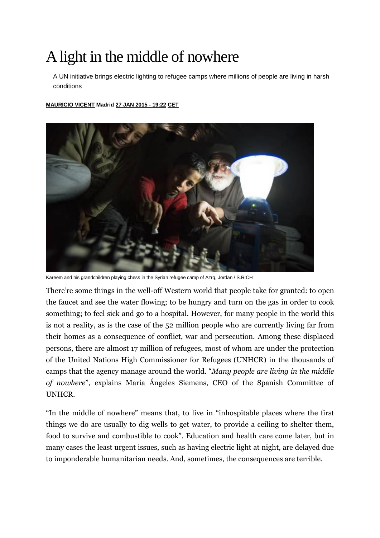## A light in the middle of nowhere

A UN initiative brings electric lighting to refugee camps where millions of people are living in harsh conditions

## **[MAURICIO VICENT](http://internacional.elpais.com/autor/mauricio_vicent/a/) Madrid [27 JAN](http://internacional.elpais.com/tag/fecha/20150127) 2015 - 19:22 CET**



Kareem and his grandchildren playing chess in the Syrian refugee camp of Azrq, Jordan / S.RICH

There're some things in the well-off Western world that people take for granted: to open the faucet and see the water flowing; to be hungry and turn on the gas in order to cook something; to feel sick and go to a hospital. However, for many people in the world this is not a reality, as is the case of the 52 million people who are currently living far from their homes as a consequence of conflict, war and persecution. Among these displaced persons, there are almost 17 million of refugees, most of whom are under the protection of the United Nations High Commissioner for Refugees (UNHCR) in the thousands of camps that the agency manage around the world. "*Many people are living in the middle of nowhere*", explains María Ángeles Siemens, CEO of the Spanish Committee of UNHCR.

"In the middle of nowhere" means that, to live in "inhospitable places where the first things we do are usually to dig wells to get water, to provide a ceiling to shelter them, food to survive and combustible to cook". Education and health care come later, but in many cases the least urgent issues, such as having electric light at night, are delayed due to imponderable humanitarian needs. And, sometimes, the consequences are terrible.